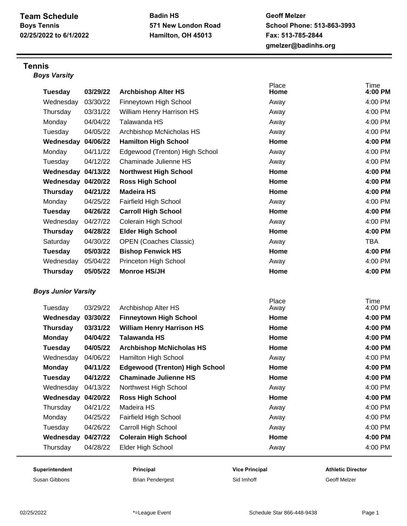**Badin HS 571 New London Road Hamilton, OH 45013**

**Geoff Melzer School Phone: 513-863-3993 Fax: 513-785-2844 gmelzer@badinhs.org**

## **Tennis** *Boys Varsity*

| <b>Tuesday</b>             | 03/29/22 | <b>Archbishop Alter HS</b>            | Place<br>Home | Time<br>4:00 PM |
|----------------------------|----------|---------------------------------------|---------------|-----------------|
| Wednesday                  | 03/30/22 | Finneytown High School                | Away          | 4:00 PM         |
| Thursday                   | 03/31/22 | William Henry Harrison HS             | Away          | 4:00 PM         |
| Monday                     | 04/04/22 | Talawanda HS                          | Away          | 4:00 PM         |
| Tuesday                    | 04/05/22 | Archbishop McNicholas HS              | Away          | 4:00 PM         |
| Wednesday                  | 04/06/22 | <b>Hamilton High School</b>           | Home          | 4:00 PM         |
| Monday                     | 04/11/22 | Edgewood (Trenton) High School        | Away          | 4:00 PM         |
| Tuesday                    | 04/12/22 | Chaminade Julienne HS                 | Away          | 4:00 PM         |
| Wednesday 04/13/22         |          | <b>Northwest High School</b>          | Home          | 4:00 PM         |
| Wednesday 04/20/22         |          | <b>Ross High School</b>               | Home          | 4:00 PM         |
| <b>Thursday</b>            | 04/21/22 | <b>Madeira HS</b>                     | Home          | 4:00 PM         |
| Monday                     | 04/25/22 | Fairfield High School                 | Away          | 4:00 PM         |
| Tuesday                    | 04/26/22 | <b>Carroll High School</b>            | Home          | 4:00 PM         |
| Wednesday                  | 04/27/22 | Colerain High School                  | Away          | 4:00 PM         |
| <b>Thursday</b>            | 04/28/22 | <b>Elder High School</b>              | Home          | 4:00 PM         |
| Saturday                   | 04/30/22 | <b>OPEN (Coaches Classic)</b>         | Away          | <b>TBA</b>      |
| Tuesday                    | 05/03/22 | <b>Bishop Fenwick HS</b>              | Home          | 4:00 PM         |
| Wednesday                  | 05/04/22 | Princeton High School                 | Away          | 4:00 PM         |
| <b>Thursday</b>            | 05/05/22 | <b>Monroe HS/JH</b>                   | Home          | 4:00 PM         |
| <b>Boys Junior Varsity</b> |          |                                       |               |                 |
| Tuesday                    | 03/29/22 | Archbishop Alter HS                   | Place<br>Away | Time<br>4:00 PM |
| Wednesday                  | 03/30/22 | <b>Finneytown High School</b>         | Home          | 4:00 PM         |
| <b>Thursday</b>            | 03/31/22 | <b>William Henry Harrison HS</b>      | Home          | 4:00 PM         |
| <b>Monday</b>              | 04/04/22 | <b>Talawanda HS</b>                   | Home          | 4:00 PM         |
| Tuesday                    | 04/05/22 | <b>Archbishop McNicholas HS</b>       | Home          | 4:00 PM         |
| Wednesday                  | 04/06/22 | Hamilton High School                  | Away          | 4:00 PM         |
| <b>Monday</b>              | 04/11/22 | <b>Edgewood (Trenton) High School</b> | Home          | 4:00 PM         |
| <b>Tuesday</b>             | 04/12/22 | <b>Chaminade Julienne HS</b>          | Home          | 4:00 PM         |
| Wednesday                  | 04/13/22 | Northwest High School                 | Away          | 4:00 PM         |
| Wednesday 04/20/22         |          | <b>Ross High School</b>               | Home          | 4:00 PM         |
| Thursday                   | 04/21/22 | Madeira HS                            | Away          | 4:00 PM         |
| Monday                     | 04/25/22 | Fairfield High School                 | Away          | 4:00 PM         |
| Tuesday                    | 04/26/22 | Carroll High School                   | Away          | 4:00 PM         |
| Wednesday                  | 04/27/22 | <b>Colerain High School</b>           | Home          | 4:00 PM         |
| Thursday                   | 04/28/22 | Elder High School                     | Away          | 4:00 PM         |

Susan Gibbons **Susan Gibbons** Brian Pendergest Sid Imhoff Sides States Geoff Melzer

**Superintendent Principal Vice Principal Athletic Director**